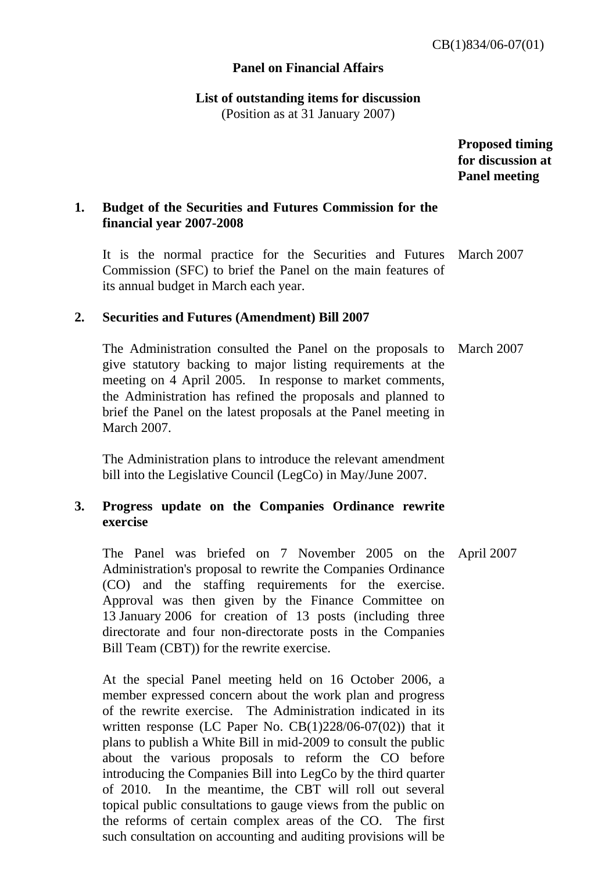# **Panel on Financial Affairs**

# **List of outstanding items for discussion**

(Position as at 31 January 2007)

 **Proposed timing for discussion at Panel meeting** 

# **1. Budget of the Securities and Futures Commission for the financial year 2007-2008**

 It is the normal practice for the Securities and Futures March 2007 Commission (SFC) to brief the Panel on the main features of its annual budget in March each year.

### **2. Securities and Futures (Amendment) Bill 2007**

The Administration consulted the Panel on the proposals to give statutory backing to major listing requirements at the meeting on 4 April 2005. In response to market comments, the Administration has refined the proposals and planned to brief the Panel on the latest proposals at the Panel meeting in March 2007. March 2007

The Administration plans to introduce the relevant amendment bill into the Legislative Council (LegCo) in May/June 2007.

# **3. Progress update on the Companies Ordinance rewrite exercise**

 The Panel was briefed on 7 November 2005 on the Administration's proposal to rewrite the Companies Ordinance (CO) and the staffing requirements for the exercise. Approval was then given by the Finance Committee on 13 January 2006 for creation of 13 posts (including three directorate and four non-directorate posts in the Companies Bill Team (CBT)) for the rewrite exercise. April 2007

 At the special Panel meeting held on 16 October 2006, a member expressed concern about the work plan and progress of the rewrite exercise. The Administration indicated in its written response (LC Paper No. CB(1)228/06-07(02)) that it plans to publish a White Bill in mid-2009 to consult the public about the various proposals to reform the CO before introducing the Companies Bill into LegCo by the third quarter of 2010. In the meantime, the CBT will roll out several topical public consultations to gauge views from the public on the reforms of certain complex areas of the CO. The first such consultation on accounting and auditing provisions will be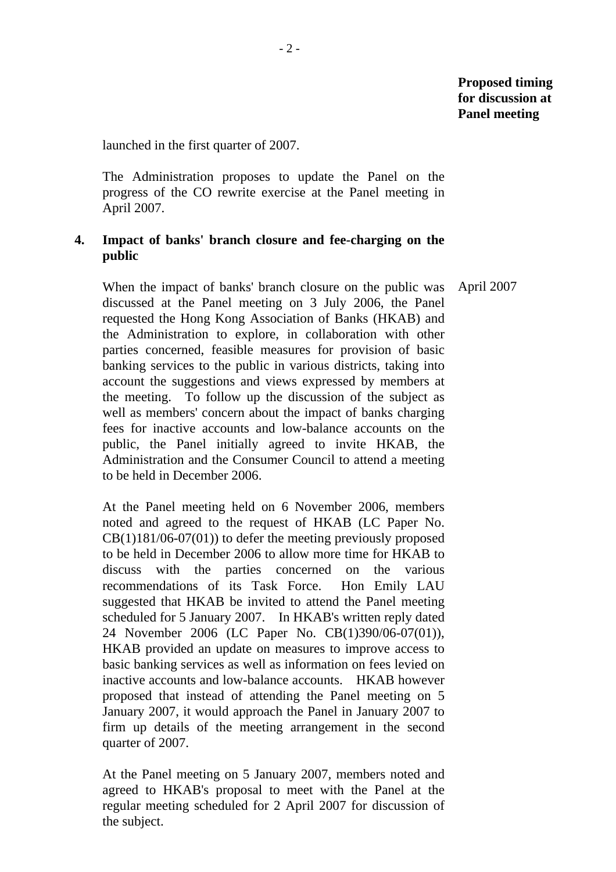launched in the first quarter of 2007.

 The Administration proposes to update the Panel on the progress of the CO rewrite exercise at the Panel meeting in April 2007.

# **4. Impact of banks' branch closure and fee-charging on the public**

 When the impact of banks' branch closure on the public was discussed at the Panel meeting on 3 July 2006, the Panel requested the Hong Kong Association of Banks (HKAB) and the Administration to explore, in collaboration with other parties concerned, feasible measures for provision of basic banking services to the public in various districts, taking into account the suggestions and views expressed by members at the meeting. To follow up the discussion of the subject as well as members' concern about the impact of banks charging fees for inactive accounts and low-balance accounts on the public, the Panel initially agreed to invite HKAB, the Administration and the Consumer Council to attend a meeting to be held in December 2006. April 2007

 At the Panel meeting held on 6 November 2006, members noted and agreed to the request of HKAB (LC Paper No.  $CB(1)181/06-07(01)$  to defer the meeting previously proposed to be held in December 2006 to allow more time for HKAB to discuss with the parties concerned on the various recommendations of its Task Force. Hon Emily LAU suggested that HKAB be invited to attend the Panel meeting scheduled for 5 January 2007. In HKAB's written reply dated 24 November 2006 (LC Paper No. CB(1)390/06-07(01)), HKAB provided an update on measures to improve access to basic banking services as well as information on fees levied on inactive accounts and low-balance accounts. HKAB however proposed that instead of attending the Panel meeting on 5 January 2007, it would approach the Panel in January 2007 to firm up details of the meeting arrangement in the second quarter of 2007.

 At the Panel meeting on 5 January 2007, members noted and agreed to HKAB's proposal to meet with the Panel at the regular meeting scheduled for 2 April 2007 for discussion of the subject.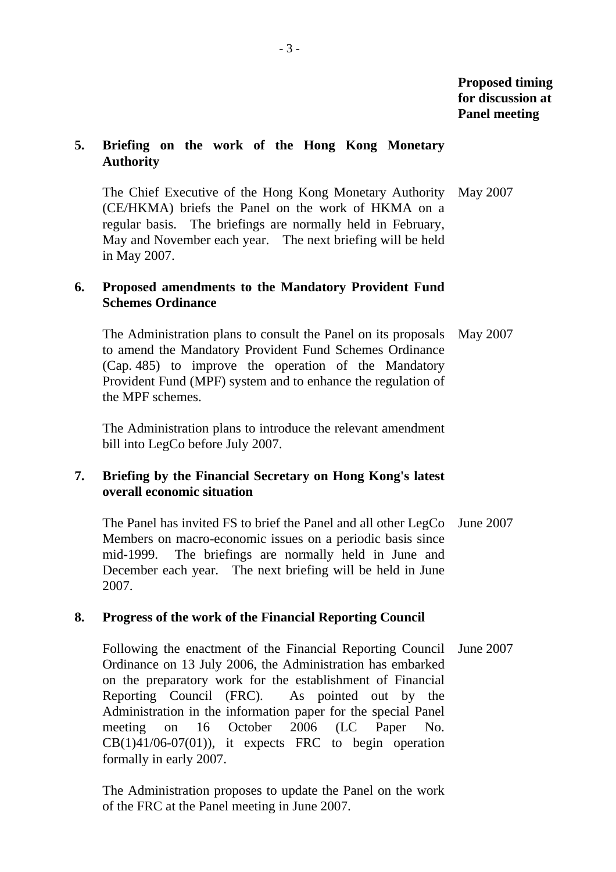# **Proposed timing for discussion at Panel meeting**

### **5. Briefing on the work of the Hong Kong Monetary Authority**

 The Chief Executive of the Hong Kong Monetary Authority (CE/HKMA) briefs the Panel on the work of HKMA on a regular basis. The briefings are normally held in February, May and November each year. The next briefing will be held in May 2007. May 2007

# **6. Proposed amendments to the Mandatory Provident Fund Schemes Ordinance**

 The Administration plans to consult the Panel on its proposals May 2007 to amend the Mandatory Provident Fund Schemes Ordinance (Cap. 485) to improve the operation of the Mandatory Provident Fund (MPF) system and to enhance the regulation of the MPF schemes.

 The Administration plans to introduce the relevant amendment bill into LegCo before July 2007.

# **7. Briefing by the Financial Secretary on Hong Kong's latest overall economic situation**

 The Panel has invited FS to brief the Panel and all other LegCo June 2007 Members on macro-economic issues on a periodic basis since mid-1999. The briefings are normally held in June and December each year. The next briefing will be held in June 2007.

# **8. Progress of the work of the Financial Reporting Council**

 Following the enactment of the Financial Reporting Council June 2007 Ordinance on 13 July 2006, the Administration has embarked on the preparatory work for the establishment of Financial Reporting Council (FRC). As pointed out by the Administration in the information paper for the special Panel meeting on 16 October 2006 (LC Paper No.  $CB(1)41/06-07(01)$ , it expects FRC to begin operation formally in early 2007.

 The Administration proposes to update the Panel on the work of the FRC at the Panel meeting in June 2007.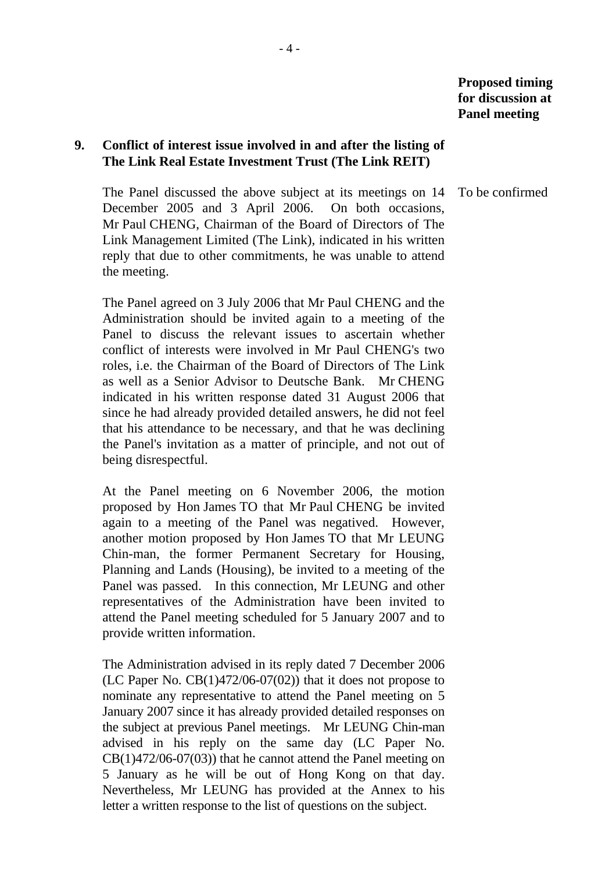**Proposed timing for discussion at Panel meeting** 

# **9. Conflict of interest issue involved in and after the listing of The Link Real Estate Investment Trust (The Link REIT)**

 The Panel discussed the above subject at its meetings on 14 December 2005 and 3 April 2006. On both occasions, Mr Paul CHENG, Chairman of the Board of Directors of The Link Management Limited (The Link), indicated in his written reply that due to other commitments, he was unable to attend the meeting.

 The Panel agreed on 3 July 2006 that Mr Paul CHENG and the Administration should be invited again to a meeting of the Panel to discuss the relevant issues to ascertain whether conflict of interests were involved in Mr Paul CHENG's two roles, i.e. the Chairman of the Board of Directors of The Link as well as a Senior Advisor to Deutsche Bank. Mr CHENG indicated in his written response dated 31 August 2006 that since he had already provided detailed answers, he did not feel that his attendance to be necessary, and that he was declining the Panel's invitation as a matter of principle, and not out of being disrespectful.

 At the Panel meeting on 6 November 2006, the motion proposed by Hon James TO that Mr Paul CHENG be invited again to a meeting of the Panel was negatived. However, another motion proposed by Hon James TO that Mr LEUNG Chin-man, the former Permanent Secretary for Housing, Planning and Lands (Housing), be invited to a meeting of the Panel was passed. In this connection, Mr LEUNG and other representatives of the Administration have been invited to attend the Panel meeting scheduled for 5 January 2007 and to provide written information.

 The Administration advised in its reply dated 7 December 2006 (LC Paper No. CB(1)472/06-07(02)) that it does not propose to nominate any representative to attend the Panel meeting on 5 January 2007 since it has already provided detailed responses on the subject at previous Panel meetings. Mr LEUNG Chin-man advised in his reply on the same day (LC Paper No.  $CB(1)472/06-07(03)$  that he cannot attend the Panel meeting on 5 January as he will be out of Hong Kong on that day. Nevertheless, Mr LEUNG has provided at the Annex to his letter a written response to the list of questions on the subject.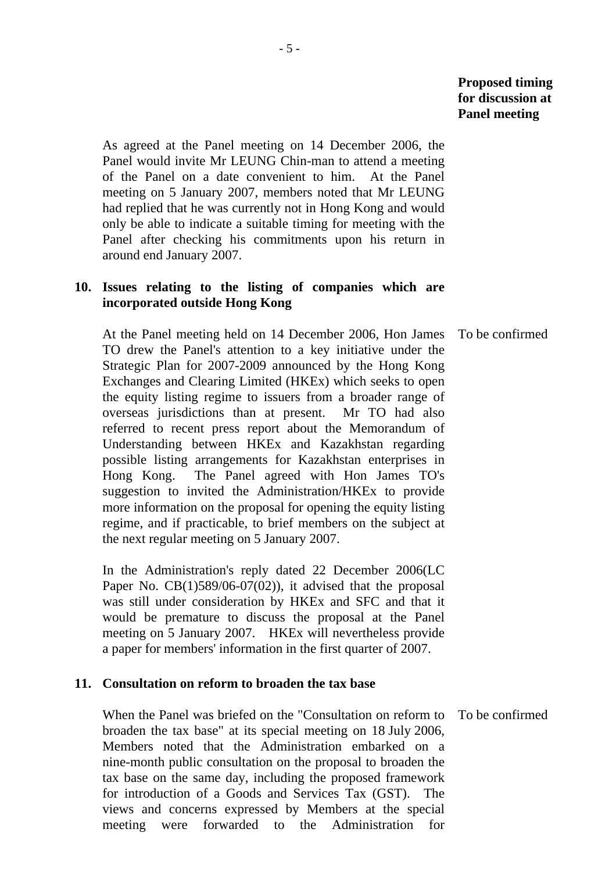**Proposed timing for discussion at Panel meeting** 

 As agreed at the Panel meeting on 14 December 2006, the Panel would invite Mr LEUNG Chin-man to attend a meeting of the Panel on a date convenient to him. At the Panel meeting on 5 January 2007, members noted that Mr LEUNG had replied that he was currently not in Hong Kong and would only be able to indicate a suitable timing for meeting with the Panel after checking his commitments upon his return in around end January 2007.

### **10. Issues relating to the listing of companies which are incorporated outside Hong Kong**

 At the Panel meeting held on 14 December 2006, Hon James TO drew the Panel's attention to a key initiative under the Strategic Plan for 2007-2009 announced by the Hong Kong Exchanges and Clearing Limited (HKEx) which seeks to open the equity listing regime to issuers from a broader range of overseas jurisdictions than at present. Mr TO had also referred to recent press report about the Memorandum of Understanding between HKEx and Kazakhstan regarding possible listing arrangements for Kazakhstan enterprises in Hong Kong. The Panel agreed with Hon James TO's suggestion to invited the Administration/HKEx to provide more information on the proposal for opening the equity listing regime, and if practicable, to brief members on the subject at the next regular meeting on 5 January 2007. To be confirmed

 In the Administration's reply dated 22 December 2006(LC Paper No.  $CB(1)589/06-07(02)$ , it advised that the proposal was still under consideration by HKEx and SFC and that it would be premature to discuss the proposal at the Panel meeting on 5 January 2007. HKEx will nevertheless provide a paper for members' information in the first quarter of 2007.

#### **11. Consultation on reform to broaden the tax base**

 When the Panel was briefed on the "Consultation on reform to broaden the tax base" at its special meeting on 18 July 2006, Members noted that the Administration embarked on a nine-month public consultation on the proposal to broaden the tax base on the same day, including the proposed framework for introduction of a Goods and Services Tax (GST). The views and concerns expressed by Members at the special meeting were forwarded to the Administration for To be confirmed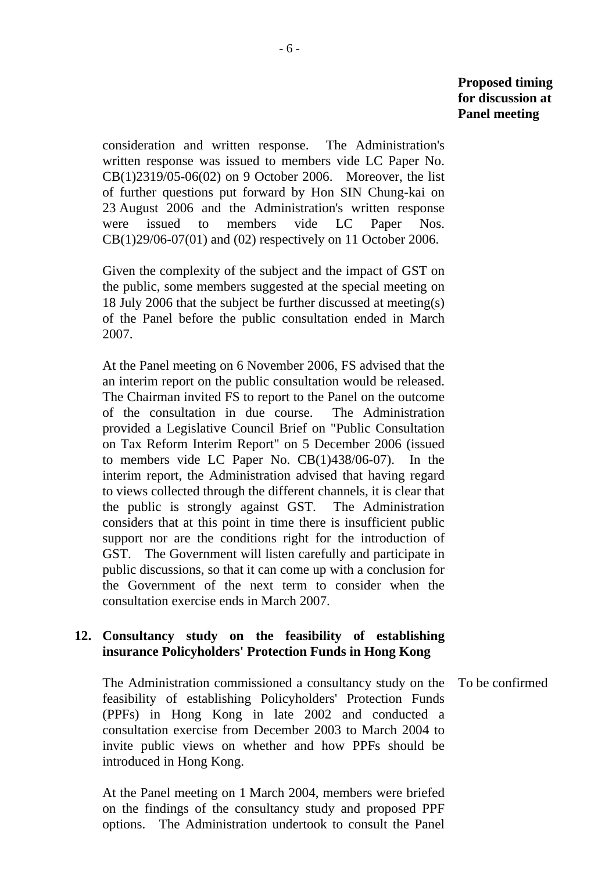consideration and written response. The Administration's written response was issued to members vide LC Paper No. CB(1)2319/05-06(02) on 9 October 2006. Moreover, the list of further questions put forward by Hon SIN Chung-kai on 23 August 2006 and the Administration's written response were issued to members vide LC Paper Nos. CB(1)29/06-07(01) and (02) respectively on 11 October 2006.

 Given the complexity of the subject and the impact of GST on the public, some members suggested at the special meeting on 18 July 2006 that the subject be further discussed at meeting(s) of the Panel before the public consultation ended in March 2007.

 At the Panel meeting on 6 November 2006, FS advised that the an interim report on the public consultation would be released. The Chairman invited FS to report to the Panel on the outcome of the consultation in due course. The Administration provided a Legislative Council Brief on "Public Consultation on Tax Reform Interim Report" on 5 December 2006 (issued to members vide LC Paper No. CB(1)438/06-07). In the interim report, the Administration advised that having regard to views collected through the different channels, it is clear that the public is strongly against GST. The Administration considers that at this point in time there is insufficient public support nor are the conditions right for the introduction of GST. The Government will listen carefully and participate in public discussions, so that it can come up with a conclusion for the Government of the next term to consider when the consultation exercise ends in March 2007.

# **12. Consultancy study on the feasibility of establishing insurance Policyholders' Protection Funds in Hong Kong**

 The Administration commissioned a consultancy study on the feasibility of establishing Policyholders' Protection Funds (PPFs) in Hong Kong in late 2002 and conducted a consultation exercise from December 2003 to March 2004 to invite public views on whether and how PPFs should be introduced in Hong Kong.

 At the Panel meeting on 1 March 2004, members were briefed on the findings of the consultancy study and proposed PPF options. The Administration undertook to consult the Panel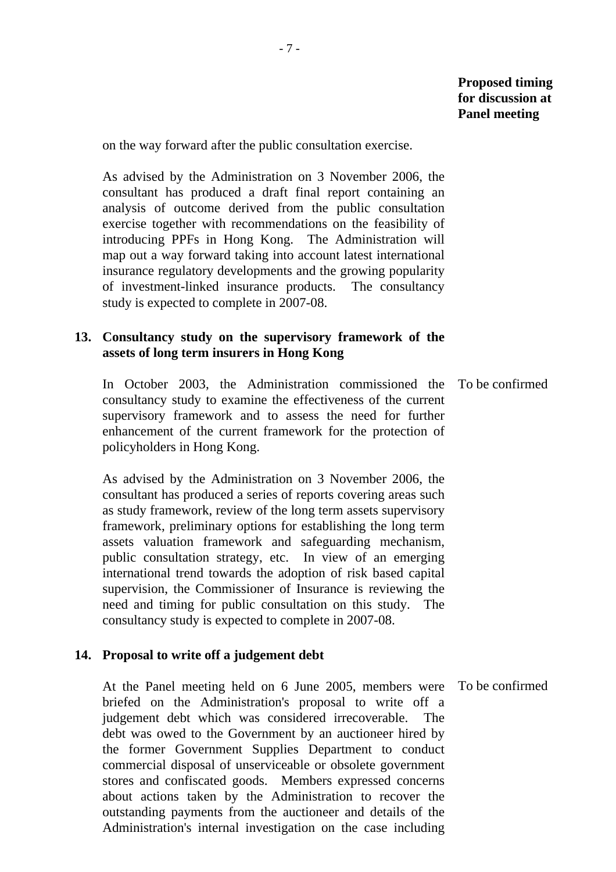on the way forward after the public consultation exercise.

 As advised by the Administration on 3 November 2006, the consultant has produced a draft final report containing an analysis of outcome derived from the public consultation exercise together with recommendations on the feasibility of introducing PPFs in Hong Kong. The Administration will map out a way forward taking into account latest international insurance regulatory developments and the growing popularity of investment-linked insurance products. The consultancy study is expected to complete in 2007-08.

### **13. Consultancy study on the supervisory framework of the assets of long term insurers in Hong Kong**

 In October 2003, the Administration commissioned the consultancy study to examine the effectiveness of the current supervisory framework and to assess the need for further enhancement of the current framework for the protection of policyholders in Hong Kong.

 As advised by the Administration on 3 November 2006, the consultant has produced a series of reports covering areas such as study framework, review of the long term assets supervisory framework, preliminary options for establishing the long term assets valuation framework and safeguarding mechanism, public consultation strategy, etc. In view of an emerging international trend towards the adoption of risk based capital supervision, the Commissioner of Insurance is reviewing the need and timing for public consultation on this study. The consultancy study is expected to complete in 2007-08.

#### **14. Proposal to write off a judgement debt**

 At the Panel meeting held on 6 June 2005, members were briefed on the Administration's proposal to write off a judgement debt which was considered irrecoverable. The debt was owed to the Government by an auctioneer hired by the former Government Supplies Department to conduct commercial disposal of unserviceable or obsolete government stores and confiscated goods. Members expressed concerns about actions taken by the Administration to recover the outstanding payments from the auctioneer and details of the Administration's internal investigation on the case including To be confirmed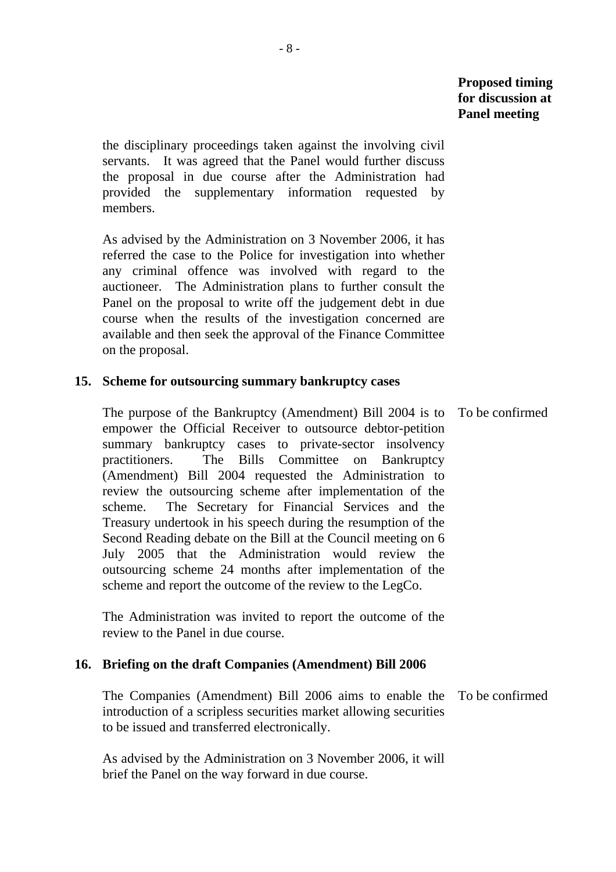the disciplinary proceedings taken against the involving civil servants. It was agreed that the Panel would further discuss the proposal in due course after the Administration had provided the supplementary information requested by members.

 As advised by the Administration on 3 November 2006, it has referred the case to the Police for investigation into whether any criminal offence was involved with regard to the auctioneer. The Administration plans to further consult the Panel on the proposal to write off the judgement debt in due course when the results of the investigation concerned are available and then seek the approval of the Finance Committee on the proposal.

### **15. Scheme for outsourcing summary bankruptcy cases**

 The purpose of the Bankruptcy (Amendment) Bill 2004 is to empower the Official Receiver to outsource debtor-petition summary bankruptcy cases to private-sector insolvency practitioners. The Bills Committee on Bankruptcy (Amendment) Bill 2004 requested the Administration to review the outsourcing scheme after implementation of the scheme. The Secretary for Financial Services and the Treasury undertook in his speech during the resumption of the Second Reading debate on the Bill at the Council meeting on 6 July 2005 that the Administration would review the outsourcing scheme 24 months after implementation of the scheme and report the outcome of the review to the LegCo. To be confirmed

 The Administration was invited to report the outcome of the review to the Panel in due course.

# **16. Briefing on the draft Companies (Amendment) Bill 2006**

 The Companies (Amendment) Bill 2006 aims to enable the To be confirmed introduction of a scripless securities market allowing securities to be issued and transferred electronically.

 As advised by the Administration on 3 November 2006, it will brief the Panel on the way forward in due course.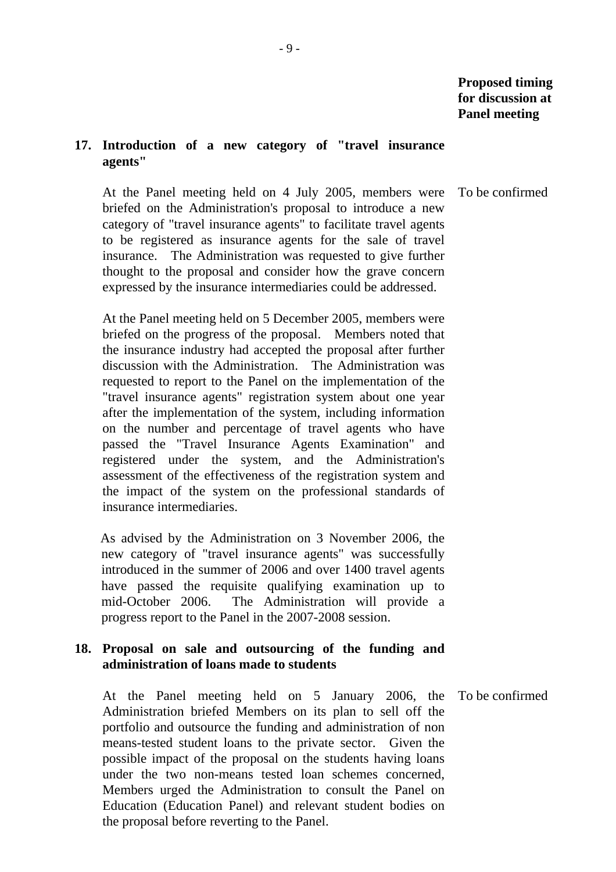#### **17. Introduction of a new category of "travel insurance agents"**

To be confirmed

 At the Panel meeting held on 4 July 2005, members were briefed on the Administration's proposal to introduce a new category of "travel insurance agents" to facilitate travel agents to be registered as insurance agents for the sale of travel insurance. The Administration was requested to give further thought to the proposal and consider how the grave concern expressed by the insurance intermediaries could be addressed.

 At the Panel meeting held on 5 December 2005, members were briefed on the progress of the proposal. Members noted that the insurance industry had accepted the proposal after further discussion with the Administration. The Administration was requested to report to the Panel on the implementation of the "travel insurance agents" registration system about one year after the implementation of the system, including information on the number and percentage of travel agents who have passed the "Travel Insurance Agents Examination" and registered under the system, and the Administration's assessment of the effectiveness of the registration system and the impact of the system on the professional standards of insurance intermediaries.

As advised by the Administration on 3 November 2006, the new category of "travel insurance agents" was successfully introduced in the summer of 2006 and over 1400 travel agents have passed the requisite qualifying examination up to mid-October 2006. The Administration will provide a progress report to the Panel in the 2007-2008 session.

# **18. Proposal on sale and outsourcing of the funding and administration of loans made to students**

 At the Panel meeting held on 5 January 2006, the Administration briefed Members on its plan to sell off the portfolio and outsource the funding and administration of non means-tested student loans to the private sector. Given the possible impact of the proposal on the students having loans under the two non-means tested loan schemes concerned, Members urged the Administration to consult the Panel on Education (Education Panel) and relevant student bodies on the proposal before reverting to the Panel.